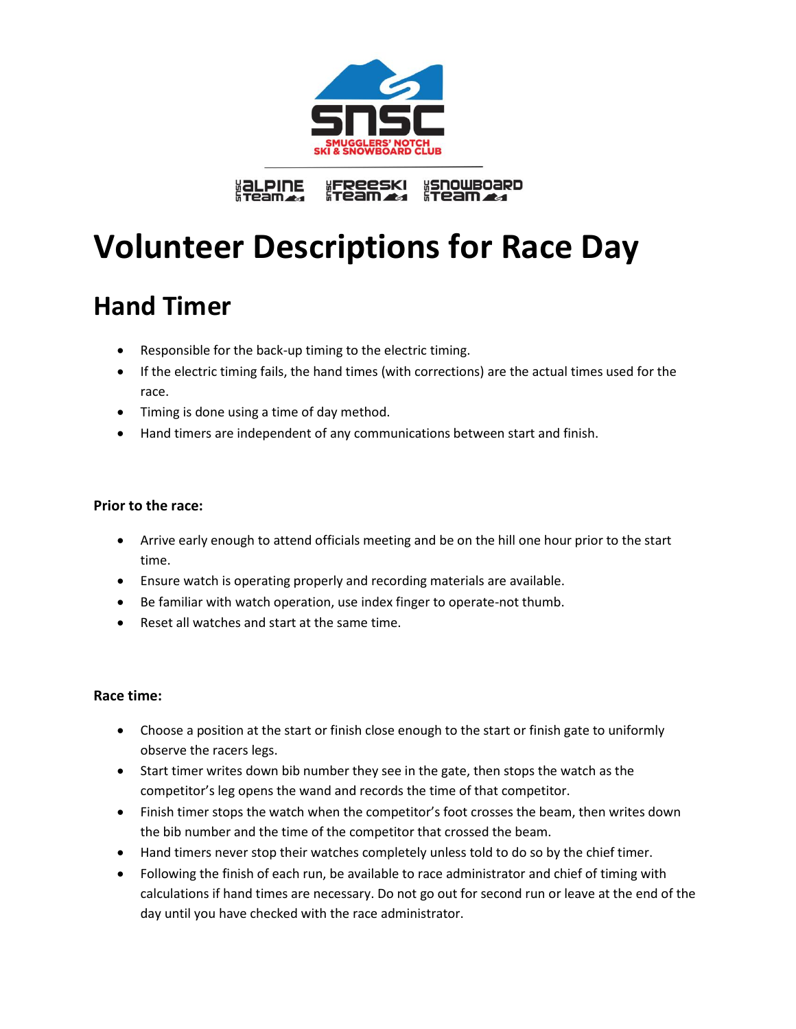

FReeski<br>Fream **"SNOWBOARD"**<br>"Team **<u>EQLPINE</u>** 

# **Volunteer Descriptions for Race Day**

# **Hand Timer**

- Responsible for the back-up timing to the electric timing.
- If the electric timing fails, the hand times (with corrections) are the actual times used for the race.
- Timing is done using a time of day method.
- Hand timers are independent of any communications between start and finish.

#### **Prior to the race:**

- Arrive early enough to attend officials meeting and be on the hill one hour prior to the start time.
- Ensure watch is operating properly and recording materials are available.
- Be familiar with watch operation, use index finger to operate-not thumb.
- Reset all watches and start at the same time.

#### **Race time:**

- Choose a position at the start or finish close enough to the start or finish gate to uniformly observe the racers legs.
- Start timer writes down bib number they see in the gate, then stops the watch as the competitor's leg opens the wand and records the time of that competitor.
- Finish timer stops the watch when the competitor's foot crosses the beam, then writes down the bib number and the time of the competitor that crossed the beam.
- Hand timers never stop their watches completely unless told to do so by the chief timer.
- Following the finish of each run, be available to race administrator and chief of timing with calculations if hand times are necessary. Do not go out for second run or leave at the end of the day until you have checked with the race administrator.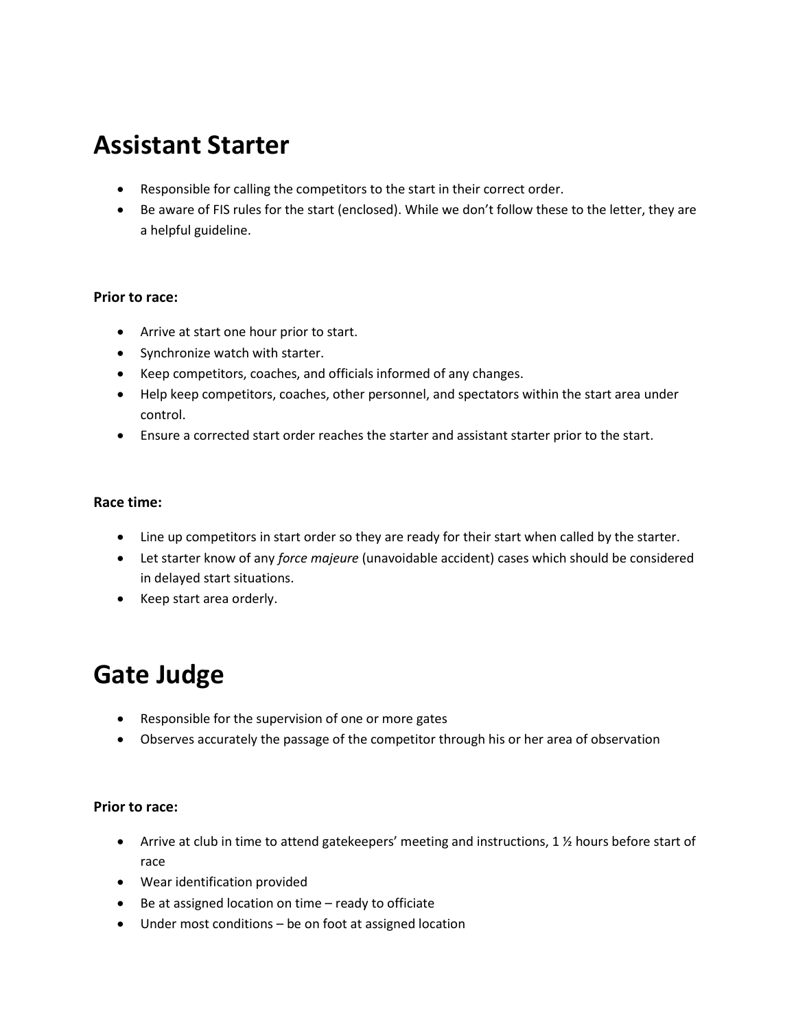# **Assistant Starter**

- Responsible for calling the competitors to the start in their correct order.
- Be aware of FIS rules for the start (enclosed). While we don't follow these to the letter, they are a helpful guideline.

#### **Prior to race:**

- Arrive at start one hour prior to start.
- Synchronize watch with starter.
- Keep competitors, coaches, and officials informed of any changes.
- Help keep competitors, coaches, other personnel, and spectators within the start area under control.
- Ensure a corrected start order reaches the starter and assistant starter prior to the start.

#### **Race time:**

- Line up competitors in start order so they are ready for their start when called by the starter.
- Let starter know of any *force majeure* (unavoidable accident) cases which should be considered in delayed start situations.
- Keep start area orderly.

# **Gate Judge**

- Responsible for the supervision of one or more gates
- Observes accurately the passage of the competitor through his or her area of observation

#### **Prior to race:**

- Arrive at club in time to attend gatekeepers' meeting and instructions, 1 % hours before start of race
- Wear identification provided
- Be at assigned location on time ready to officiate
- Under most conditions be on foot at assigned location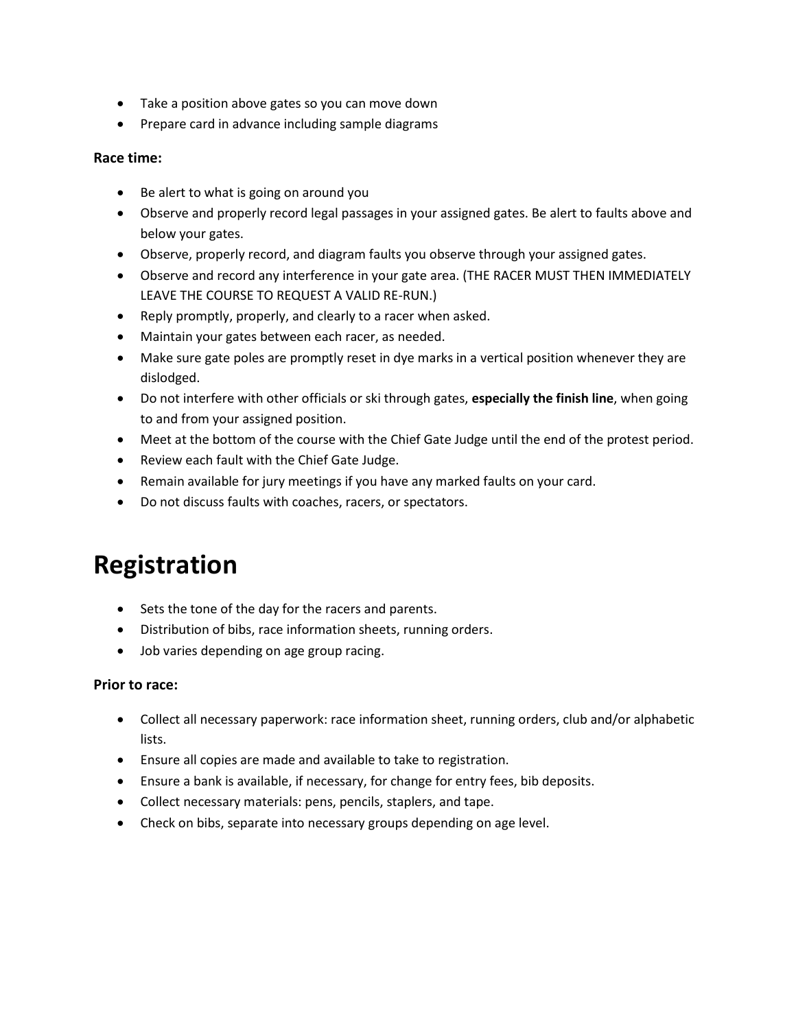- Take a position above gates so you can move down
- Prepare card in advance including sample diagrams

#### **Race time:**

- Be alert to what is going on around you
- Observe and properly record legal passages in your assigned gates. Be alert to faults above and below your gates.
- Observe, properly record, and diagram faults you observe through your assigned gates.
- Observe and record any interference in your gate area. (THE RACER MUST THEN IMMEDIATELY LEAVE THE COURSE TO REQUEST A VALID RE-RUN.)
- Reply promptly, properly, and clearly to a racer when asked.
- Maintain your gates between each racer, as needed.
- Make sure gate poles are promptly reset in dye marks in a vertical position whenever they are dislodged.
- Do not interfere with other officials or ski through gates, **especially the finish line**, when going to and from your assigned position.
- Meet at the bottom of the course with the Chief Gate Judge until the end of the protest period.
- Review each fault with the Chief Gate Judge.
- Remain available for jury meetings if you have any marked faults on your card.
- Do not discuss faults with coaches, racers, or spectators.

# **Registration**

- Sets the tone of the day for the racers and parents.
- Distribution of bibs, race information sheets, running orders.
- Job varies depending on age group racing.

#### **Prior to race:**

- Collect all necessary paperwork: race information sheet, running orders, club and/or alphabetic lists.
- Ensure all copies are made and available to take to registration.
- Ensure a bank is available, if necessary, for change for entry fees, bib deposits.
- Collect necessary materials: pens, pencils, staplers, and tape.
- Check on bibs, separate into necessary groups depending on age level.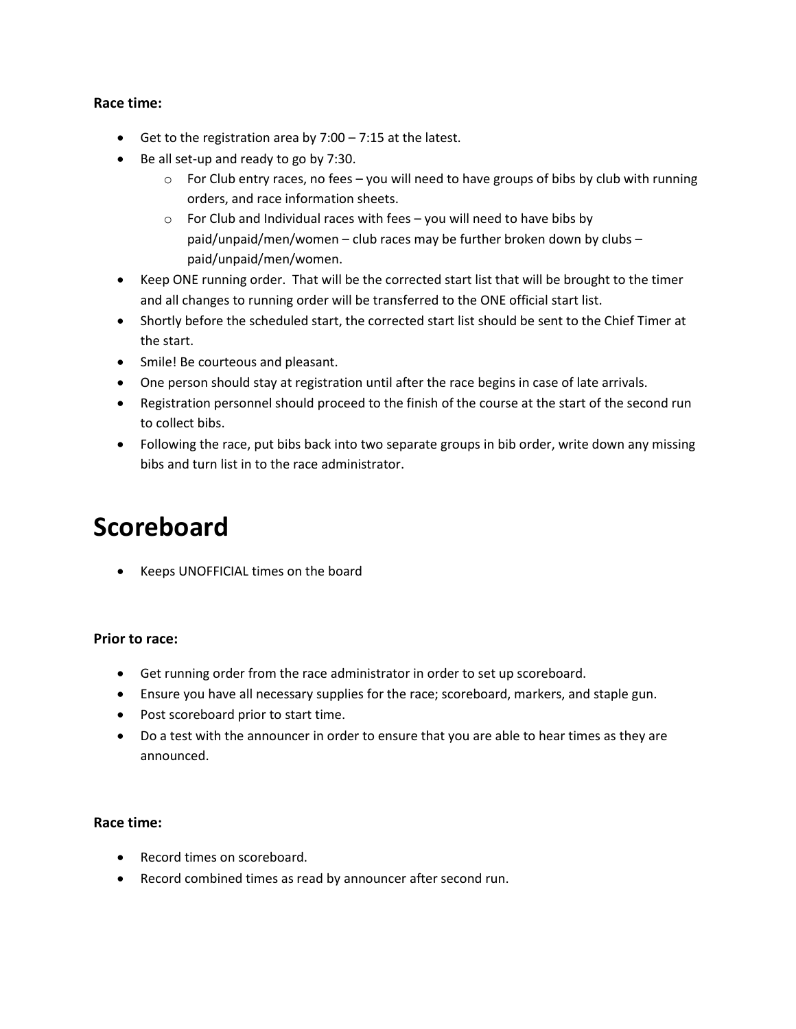#### **Race time:**

- Get to the registration area by  $7:00 7:15$  at the latest.
- Be all set-up and ready to go by 7:30.
	- $\circ$  For Club entry races, no fees you will need to have groups of bibs by club with running orders, and race information sheets.
	- $\circ$  For Club and Individual races with fees you will need to have bibs by paid/unpaid/men/women – club races may be further broken down by clubs – paid/unpaid/men/women.
- Keep ONE running order. That will be the corrected start list that will be brought to the timer and all changes to running order will be transferred to the ONE official start list.
- Shortly before the scheduled start, the corrected start list should be sent to the Chief Timer at the start.
- Smile! Be courteous and pleasant.
- One person should stay at registration until after the race begins in case of late arrivals.
- Registration personnel should proceed to the finish of the course at the start of the second run to collect bibs.
- Following the race, put bibs back into two separate groups in bib order, write down any missing bibs and turn list in to the race administrator.

### **Scoreboard**

Keeps UNOFFICIAL times on the board

#### **Prior to race:**

- Get running order from the race administrator in order to set up scoreboard.
- Ensure you have all necessary supplies for the race; scoreboard, markers, and staple gun.
- Post scoreboard prior to start time.
- Do a test with the announcer in order to ensure that you are able to hear times as they are announced.

#### **Race time:**

- Record times on scoreboard.
- Record combined times as read by announcer after second run.